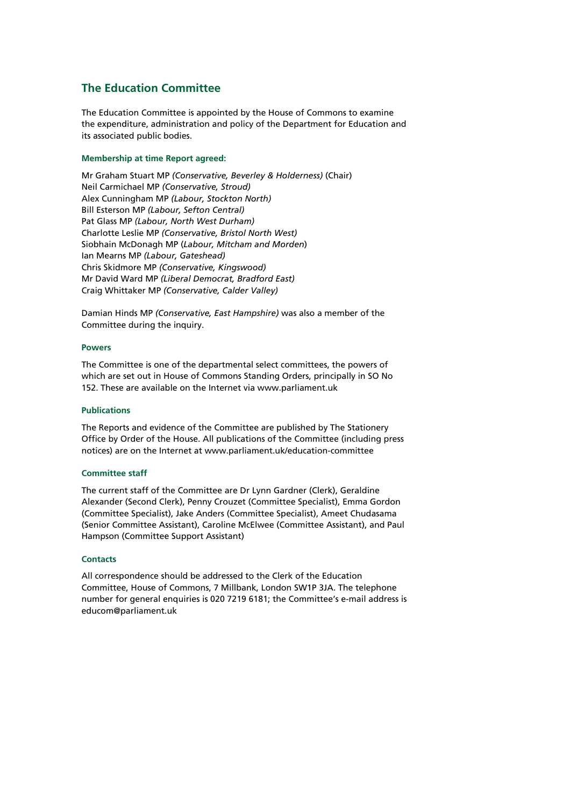## **The Education Committee**

The Education Committee is appointed by the House of Commons to examine the expenditure, administration and policy of the Department for Education and its associated public bodies.

#### **Membership at time Report agreed:**

Mr Graham Stuart MP *(Conservative, Beverley & Holderness)* (Chair) Neil Carmichael MP *(Conservative, Stroud)*  Alex Cunningham MP *(Labour, Stockton North)* Bill Esterson MP *(Labour, Sefton Central)*  Pat Glass MP *(Labour, North West Durham)*  Charlotte Leslie MP *(Conservative, Bristol North West)*  Siobhain McDonagh MP (*Labour, Mitcham and Morden*) Ian Mearns MP *(Labour, Gateshead)*  Chris Skidmore MP *(Conservative, Kingswood)*  Mr David Ward MP *(Liberal Democrat, Bradford East)*  Craig Whittaker MP *(Conservative, Calder Valley)* 

Damian Hinds MP *(Conservative, East Hampshire)* was also a member of the Committee during the inquiry.

#### **Powers**

The Committee is one of the departmental select committees, the powers of which are set out in House of Commons Standing Orders, principally in SO No 152. These are available on the Internet via www.parliament.uk

#### **Publications**

The Reports and evidence of the Committee are published by The Stationery Office by Order of the House. All publications of the Committee (including press notices) are on the Internet at www.parliament.uk/education-committee

#### **Committee staff**

The current staff of the Committee are Dr Lynn Gardner (Clerk), Geraldine Alexander (Second Clerk), Penny Crouzet (Committee Specialist), Emma Gordon (Committee Specialist), Jake Anders (Committee Specialist), Ameet Chudasama (Senior Committee Assistant), Caroline McElwee (Committee Assistant), and Paul Hampson (Committee Support Assistant)

#### **Contacts**

All correspondence should be addressed to the Clerk of the Education Committee, House of Commons, 7 Millbank, London SW1P 3JA. The telephone number for general enquiries is 020 7219 6181; the Committee's e-mail address is educom@parliament.uk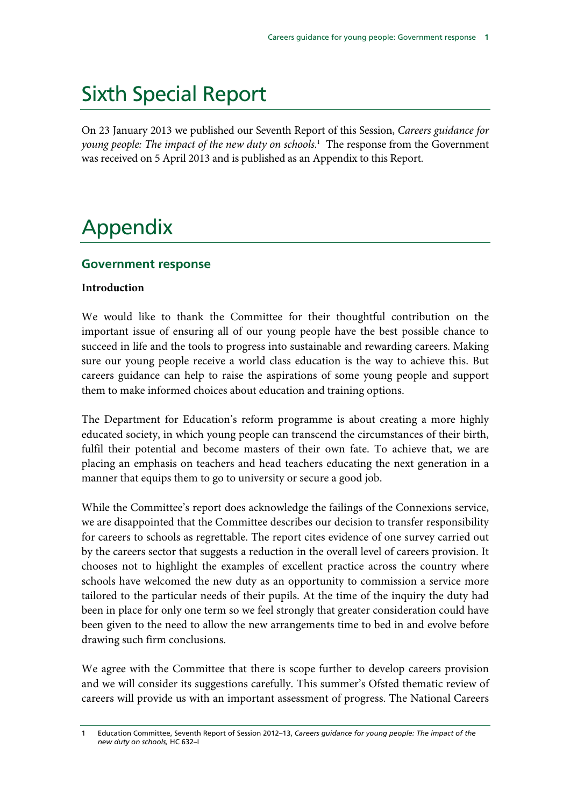# Sixth Special Report

On 23 January 2013 we published our Seventh Report of this Session, *Careers guidance for young people: The impact of the new duty on schools*. 1 The response from the Government was received on 5 April 2013 and is published as an Appendix to this Report.

# Appendix

# **Government response**

## **Introduction**

We would like to thank the Committee for their thoughtful contribution on the important issue of ensuring all of our young people have the best possible chance to succeed in life and the tools to progress into sustainable and rewarding careers. Making sure our young people receive a world class education is the way to achieve this. But careers guidance can help to raise the aspirations of some young people and support them to make informed choices about education and training options.

The Department for Education's reform programme is about creating a more highly educated society, in which young people can transcend the circumstances of their birth, fulfil their potential and become masters of their own fate. To achieve that, we are placing an emphasis on teachers and head teachers educating the next generation in a manner that equips them to go to university or secure a good job.

While the Committee's report does acknowledge the failings of the Connexions service, we are disappointed that the Committee describes our decision to transfer responsibility for careers to schools as regrettable. The report cites evidence of one survey carried out by the careers sector that suggests a reduction in the overall level of careers provision. It chooses not to highlight the examples of excellent practice across the country where schools have welcomed the new duty as an opportunity to commission a service more tailored to the particular needs of their pupils. At the time of the inquiry the duty had been in place for only one term so we feel strongly that greater consideration could have been given to the need to allow the new arrangements time to bed in and evolve before drawing such firm conclusions.

We agree with the Committee that there is scope further to develop careers provision and we will consider its suggestions carefully. This summer's Ofsted thematic review of careers will provide us with an important assessment of progress. The National Careers

<sup>1</sup> Education Committee, Seventh Report of Session 2012–13, *Careers guidance for young people: The impact of the new duty on schools,* HC 632–I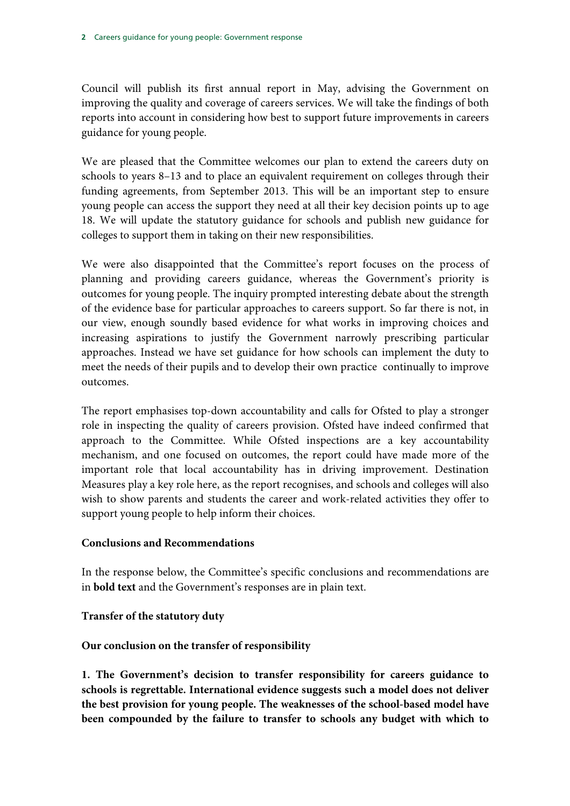Council will publish its first annual report in May, advising the Government on improving the quality and coverage of careers services. We will take the findings of both reports into account in considering how best to support future improvements in careers guidance for young people.

We are pleased that the Committee welcomes our plan to extend the careers duty on schools to years 8–13 and to place an equivalent requirement on colleges through their funding agreements, from September 2013. This will be an important step to ensure young people can access the support they need at all their key decision points up to age 18. We will update the statutory guidance for schools and publish new guidance for colleges to support them in taking on their new responsibilities.

We were also disappointed that the Committee's report focuses on the process of planning and providing careers guidance, whereas the Government's priority is outcomes for young people. The inquiry prompted interesting debate about the strength of the evidence base for particular approaches to careers support. So far there is not, in our view, enough soundly based evidence for what works in improving choices and increasing aspirations to justify the Government narrowly prescribing particular approaches. Instead we have set guidance for how schools can implement the duty to meet the needs of their pupils and to develop their own practice continually to improve outcomes.

The report emphasises top-down accountability and calls for Ofsted to play a stronger role in inspecting the quality of careers provision. Ofsted have indeed confirmed that approach to the Committee. While Ofsted inspections are a key accountability mechanism, and one focused on outcomes, the report could have made more of the important role that local accountability has in driving improvement. Destination Measures play a key role here, as the report recognises, and schools and colleges will also wish to show parents and students the career and work-related activities they offer to support young people to help inform their choices.

#### **Conclusions and Recommendations**

In the response below, the Committee's specific conclusions and recommendations are in **bold text** and the Government's responses are in plain text.

# **Transfer of the statutory duty**

# **Our conclusion on the transfer of responsibility**

**1. The Government's decision to transfer responsibility for careers guidance to schools is regrettable. International evidence suggests such a model does not deliver the best provision for young people. The weaknesses of the school-based model have been compounded by the failure to transfer to schools any budget with which to**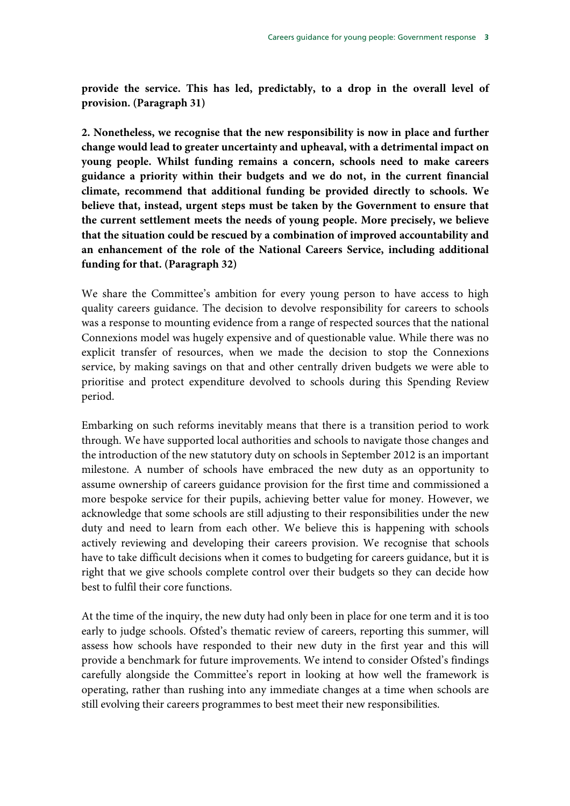**provide the service. This has led, predictably, to a drop in the overall level of provision. (Paragraph 31)** 

**2. Nonetheless, we recognise that the new responsibility is now in place and further change would lead to greater uncertainty and upheaval, with a detrimental impact on young people. Whilst funding remains a concern, schools need to make careers guidance a priority within their budgets and we do not, in the current financial climate, recommend that additional funding be provided directly to schools. We believe that, instead, urgent steps must be taken by the Government to ensure that the current settlement meets the needs of young people. More precisely, we believe that the situation could be rescued by a combination of improved accountability and an enhancement of the role of the National Careers Service, including additional funding for that. (Paragraph 32)** 

We share the Committee's ambition for every young person to have access to high quality careers guidance. The decision to devolve responsibility for careers to schools was a response to mounting evidence from a range of respected sources that the national Connexions model was hugely expensive and of questionable value. While there was no explicit transfer of resources, when we made the decision to stop the Connexions service, by making savings on that and other centrally driven budgets we were able to prioritise and protect expenditure devolved to schools during this Spending Review period.

Embarking on such reforms inevitably means that there is a transition period to work through. We have supported local authorities and schools to navigate those changes and the introduction of the new statutory duty on schools in September 2012 is an important milestone. A number of schools have embraced the new duty as an opportunity to assume ownership of careers guidance provision for the first time and commissioned a more bespoke service for their pupils, achieving better value for money. However, we acknowledge that some schools are still adjusting to their responsibilities under the new duty and need to learn from each other. We believe this is happening with schools actively reviewing and developing their careers provision. We recognise that schools have to take difficult decisions when it comes to budgeting for careers guidance, but it is right that we give schools complete control over their budgets so they can decide how best to fulfil their core functions.

At the time of the inquiry, the new duty had only been in place for one term and it is too early to judge schools. Ofsted's thematic review of careers, reporting this summer, will assess how schools have responded to their new duty in the first year and this will provide a benchmark for future improvements. We intend to consider Ofsted's findings carefully alongside the Committee's report in looking at how well the framework is operating, rather than rushing into any immediate changes at a time when schools are still evolving their careers programmes to best meet their new responsibilities.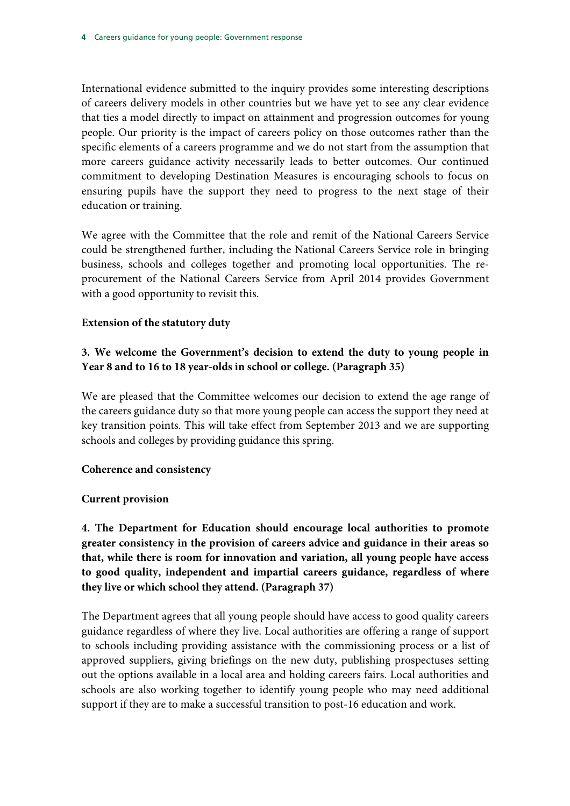International evidence submitted to the inquiry provides some interesting descriptions of careers delivery models in other countries but we have yet to see any clear evidence that ties a model directly to impact on attainment and progression outcomes for young people. Our priority is the impact of careers policy on those outcomes rather than the specific elements of a careers programme and we do not start from the assumption that more careers guidance activity necessarily leads to better outcomes. Our continued commitment to developing Destination Measures is encouraging schools to focus on ensuring pupils have the support they need to progress to the next stage of their education or training.

We agree with the Committee that the role and remit of the National Careers Service could be strengthened further, including the National Careers Service role in bringing business, schools and colleges together and promoting local opportunities. The reprocurement of the National Careers Service from April 2014 provides Government with a good opportunity to revisit this.

# **Extension of the statutory duty**

# **3. We welcome the Government's decision to extend the duty to young people in Year 8 and to 16 to 18 year-olds in school or college. (Paragraph 35)**

We are pleased that the Committee welcomes our decision to extend the age range of the careers guidance duty so that more young people can access the support they need at key transition points. This will take effect from September 2013 and we are supporting schools and colleges by providing guidance this spring.

# **Coherence and consistency**

# **Current provision**

**4. The Department for Education should encourage local authorities to promote greater consistency in the provision of careers advice and guidance in their areas so that, while there is room for innovation and variation, all young people have access to good quality, independent and impartial careers guidance, regardless of where they live or which school they attend. (Paragraph 37)** 

The Department agrees that all young people should have access to good quality careers guidance regardless of where they live. Local authorities are offering a range of support to schools including providing assistance with the commissioning process or a list of approved suppliers, giving briefings on the new duty, publishing prospectuses setting out the options available in a local area and holding careers fairs. Local authorities and schools are also working together to identify young people who may need additional support if they are to make a successful transition to post-16 education and work.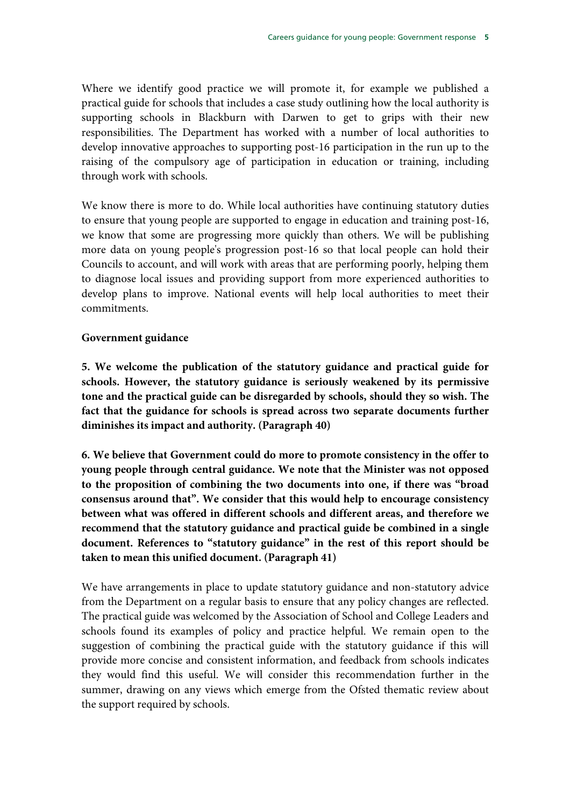Where we identify good practice we will promote it, for example we published a practical guide for schools that includes a case study outlining how the local authority is supporting schools in Blackburn with Darwen to get to grips with their new responsibilities. The Department has worked with a number of local authorities to develop innovative approaches to supporting post-16 participation in the run up to the raising of the compulsory age of participation in education or training, including through work with schools.

We know there is more to do. While local authorities have continuing statutory duties to ensure that young people are supported to engage in education and training post-16, we know that some are progressing more quickly than others. We will be publishing more data on young people's progression post-16 so that local people can hold their Councils to account, and will work with areas that are performing poorly, helping them to diagnose local issues and providing support from more experienced authorities to develop plans to improve. National events will help local authorities to meet their commitments.

#### **Government guidance**

**5. We welcome the publication of the statutory guidance and practical guide for schools. However, the statutory guidance is seriously weakened by its permissive tone and the practical guide can be disregarded by schools, should they so wish. The fact that the guidance for schools is spread across two separate documents further diminishes its impact and authority. (Paragraph 40)** 

**6. We believe that Government could do more to promote consistency in the offer to young people through central guidance. We note that the Minister was not opposed to the proposition of combining the two documents into one, if there was "broad consensus around that". We consider that this would help to encourage consistency between what was offered in different schools and different areas, and therefore we recommend that the statutory guidance and practical guide be combined in a single document. References to "statutory guidance" in the rest of this report should be taken to mean this unified document. (Paragraph 41)** 

We have arrangements in place to update statutory guidance and non-statutory advice from the Department on a regular basis to ensure that any policy changes are reflected. The practical guide was welcomed by the Association of School and College Leaders and schools found its examples of policy and practice helpful. We remain open to the suggestion of combining the practical guide with the statutory guidance if this will provide more concise and consistent information, and feedback from schools indicates they would find this useful. We will consider this recommendation further in the summer, drawing on any views which emerge from the Ofsted thematic review about the support required by schools.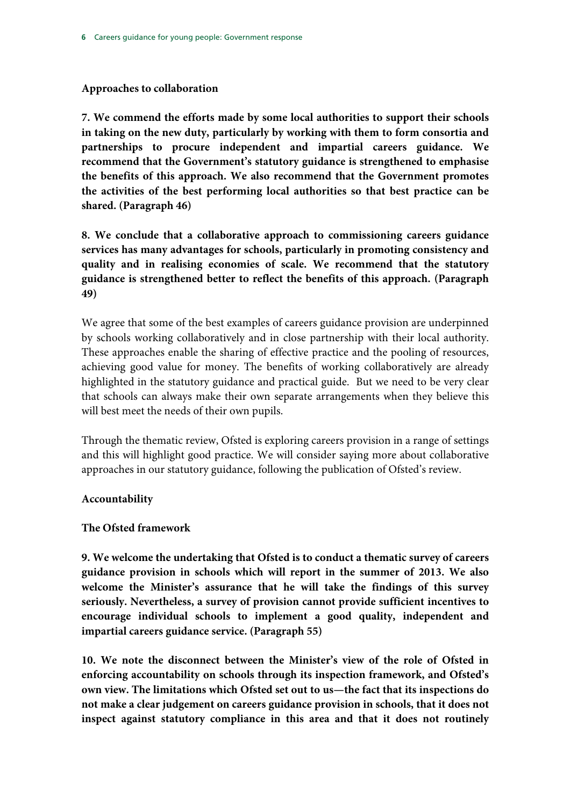#### **Approaches to collaboration**

**7. We commend the efforts made by some local authorities to support their schools in taking on the new duty, particularly by working with them to form consortia and partnerships to procure independent and impartial careers guidance. We recommend that the Government's statutory guidance is strengthened to emphasise the benefits of this approach. We also recommend that the Government promotes the activities of the best performing local authorities so that best practice can be shared. (Paragraph 46)** 

**8. We conclude that a collaborative approach to commissioning careers guidance services has many advantages for schools, particularly in promoting consistency and quality and in realising economies of scale. We recommend that the statutory guidance is strengthened better to reflect the benefits of this approach. (Paragraph 49)** 

We agree that some of the best examples of careers guidance provision are underpinned by schools working collaboratively and in close partnership with their local authority. These approaches enable the sharing of effective practice and the pooling of resources, achieving good value for money. The benefits of working collaboratively are already highlighted in the statutory guidance and practical guide. But we need to be very clear that schools can always make their own separate arrangements when they believe this will best meet the needs of their own pupils.

Through the thematic review, Ofsted is exploring careers provision in a range of settings and this will highlight good practice. We will consider saying more about collaborative approaches in our statutory guidance, following the publication of Ofsted's review.

# **Accountability**

#### **The Ofsted framework**

**9. We welcome the undertaking that Ofsted is to conduct a thematic survey of careers guidance provision in schools which will report in the summer of 2013. We also welcome the Minister's assurance that he will take the findings of this survey seriously. Nevertheless, a survey of provision cannot provide sufficient incentives to encourage individual schools to implement a good quality, independent and impartial careers guidance service. (Paragraph 55)** 

**10. We note the disconnect between the Minister's view of the role of Ofsted in enforcing accountability on schools through its inspection framework, and Ofsted's own view. The limitations which Ofsted set out to us—the fact that its inspections do not make a clear judgement on careers guidance provision in schools, that it does not inspect against statutory compliance in this area and that it does not routinely**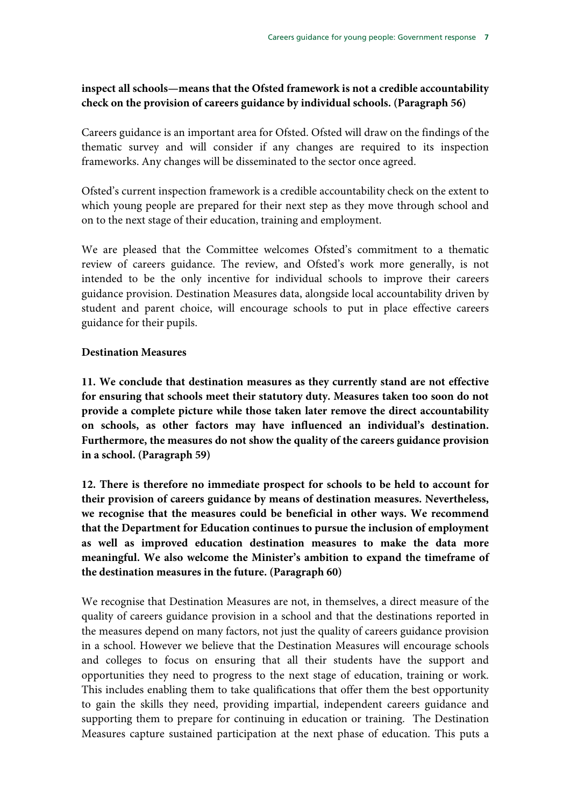# **inspect all schools—means that the Ofsted framework is not a credible accountability check on the provision of careers guidance by individual schools. (Paragraph 56)**

Careers guidance is an important area for Ofsted. Ofsted will draw on the findings of the thematic survey and will consider if any changes are required to its inspection frameworks. Any changes will be disseminated to the sector once agreed.

Ofsted's current inspection framework is a credible accountability check on the extent to which young people are prepared for their next step as they move through school and on to the next stage of their education, training and employment.

We are pleased that the Committee welcomes Ofsted's commitment to a thematic review of careers guidance. The review, and Ofsted's work more generally, is not intended to be the only incentive for individual schools to improve their careers guidance provision. Destination Measures data, alongside local accountability driven by student and parent choice, will encourage schools to put in place effective careers guidance for their pupils.

## **Destination Measures**

**11. We conclude that destination measures as they currently stand are not effective for ensuring that schools meet their statutory duty. Measures taken too soon do not provide a complete picture while those taken later remove the direct accountability on schools, as other factors may have influenced an individual's destination. Furthermore, the measures do not show the quality of the careers guidance provision in a school. (Paragraph 59)** 

**12. There is therefore no immediate prospect for schools to be held to account for their provision of careers guidance by means of destination measures. Nevertheless, we recognise that the measures could be beneficial in other ways. We recommend that the Department for Education continues to pursue the inclusion of employment as well as improved education destination measures to make the data more meaningful. We also welcome the Minister's ambition to expand the timeframe of the destination measures in the future. (Paragraph 60)** 

We recognise that Destination Measures are not, in themselves, a direct measure of the quality of careers guidance provision in a school and that the destinations reported in the measures depend on many factors, not just the quality of careers guidance provision in a school. However we believe that the Destination Measures will encourage schools and colleges to focus on ensuring that all their students have the support and opportunities they need to progress to the next stage of education, training or work. This includes enabling them to take qualifications that offer them the best opportunity to gain the skills they need, providing impartial, independent careers guidance and supporting them to prepare for continuing in education or training. The Destination Measures capture sustained participation at the next phase of education. This puts a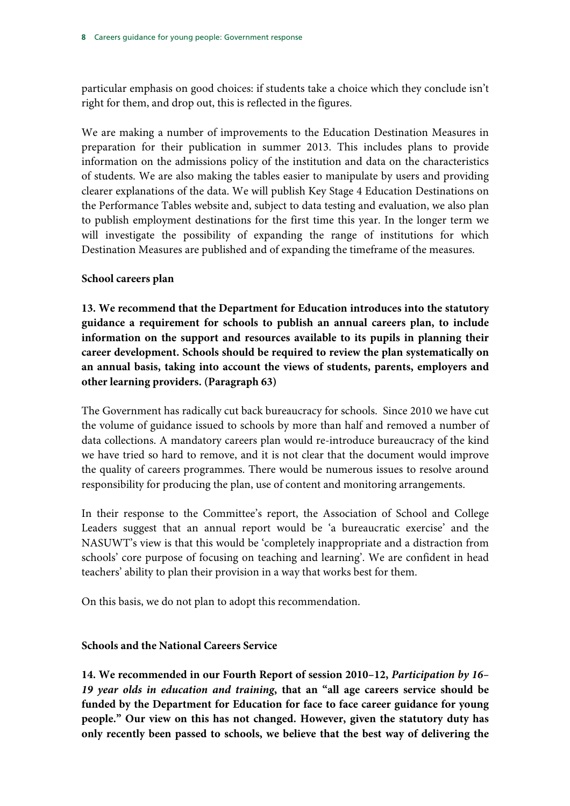particular emphasis on good choices: if students take a choice which they conclude isn't right for them, and drop out, this is reflected in the figures.

We are making a number of improvements to the Education Destination Measures in preparation for their publication in summer 2013. This includes plans to provide information on the admissions policy of the institution and data on the characteristics of students. We are also making the tables easier to manipulate by users and providing clearer explanations of the data. We will publish Key Stage 4 Education Destinations on the Performance Tables website and, subject to data testing and evaluation, we also plan to publish employment destinations for the first time this year. In the longer term we will investigate the possibility of expanding the range of institutions for which Destination Measures are published and of expanding the timeframe of the measures.

# **School careers plan**

**13. We recommend that the Department for Education introduces into the statutory guidance a requirement for schools to publish an annual careers plan, to include information on the support and resources available to its pupils in planning their career development. Schools should be required to review the plan systematically on an annual basis, taking into account the views of students, parents, employers and other learning providers. (Paragraph 63)** 

The Government has radically cut back bureaucracy for schools. Since 2010 we have cut the volume of guidance issued to schools by more than half and removed a number of data collections. A mandatory careers plan would re-introduce bureaucracy of the kind we have tried so hard to remove, and it is not clear that the document would improve the quality of careers programmes. There would be numerous issues to resolve around responsibility for producing the plan, use of content and monitoring arrangements.

In their response to the Committee's report, the Association of School and College Leaders suggest that an annual report would be 'a bureaucratic exercise' and the NASUWT's view is that this would be 'completely inappropriate and a distraction from schools' core purpose of focusing on teaching and learning'. We are confident in head teachers' ability to plan their provision in a way that works best for them.

On this basis, we do not plan to adopt this recommendation.

# **Schools and the National Careers Service**

**14. We recommended in our Fourth Report of session 2010–12,** *Participation by 16– 19 year olds in education and training***, that an "all age careers service should be funded by the Department for Education for face to face career guidance for young people." Our view on this has not changed. However, given the statutory duty has only recently been passed to schools, we believe that the best way of delivering the**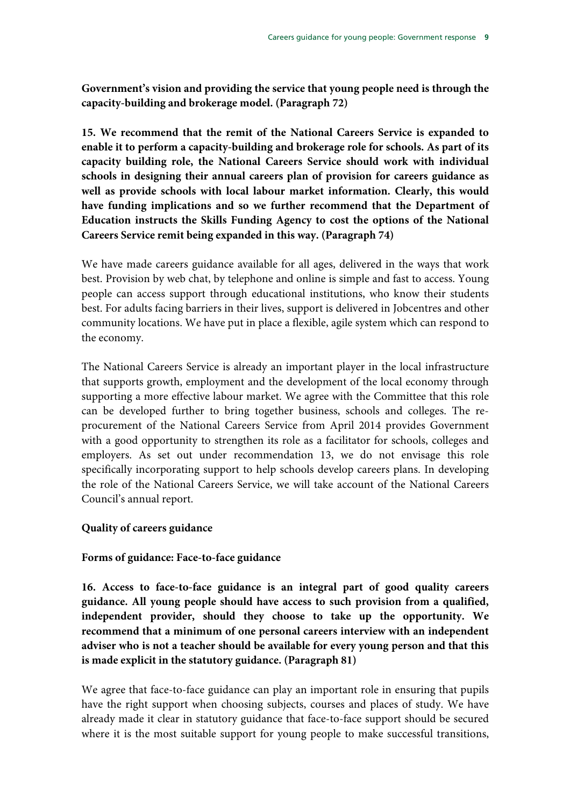**Government's vision and providing the service that young people need is through the capacity-building and brokerage model. (Paragraph 72)** 

**15. We recommend that the remit of the National Careers Service is expanded to enable it to perform a capacity-building and brokerage role for schools. As part of its capacity building role, the National Careers Service should work with individual schools in designing their annual careers plan of provision for careers guidance as well as provide schools with local labour market information. Clearly, this would have funding implications and so we further recommend that the Department of Education instructs the Skills Funding Agency to cost the options of the National Careers Service remit being expanded in this way. (Paragraph 74)** 

We have made careers guidance available for all ages, delivered in the ways that work best. Provision by web chat, by telephone and online is simple and fast to access. Young people can access support through educational institutions, who know their students best. For adults facing barriers in their lives, support is delivered in Jobcentres and other community locations. We have put in place a flexible, agile system which can respond to the economy.

The National Careers Service is already an important player in the local infrastructure that supports growth, employment and the development of the local economy through supporting a more effective labour market. We agree with the Committee that this role can be developed further to bring together business, schools and colleges. The reprocurement of the National Careers Service from April 2014 provides Government with a good opportunity to strengthen its role as a facilitator for schools, colleges and employers. As set out under recommendation 13, we do not envisage this role specifically incorporating support to help schools develop careers plans. In developing the role of the National Careers Service, we will take account of the National Careers Council's annual report.

#### **Quality of careers guidance**

# **Forms of guidance: Face-to-face guidance**

**16. Access to face-to-face guidance is an integral part of good quality careers guidance. All young people should have access to such provision from a qualified, independent provider, should they choose to take up the opportunity. We recommend that a minimum of one personal careers interview with an independent adviser who is not a teacher should be available for every young person and that this is made explicit in the statutory guidance. (Paragraph 81)** 

We agree that face-to-face guidance can play an important role in ensuring that pupils have the right support when choosing subjects, courses and places of study. We have already made it clear in statutory guidance that face-to-face support should be secured where it is the most suitable support for young people to make successful transitions,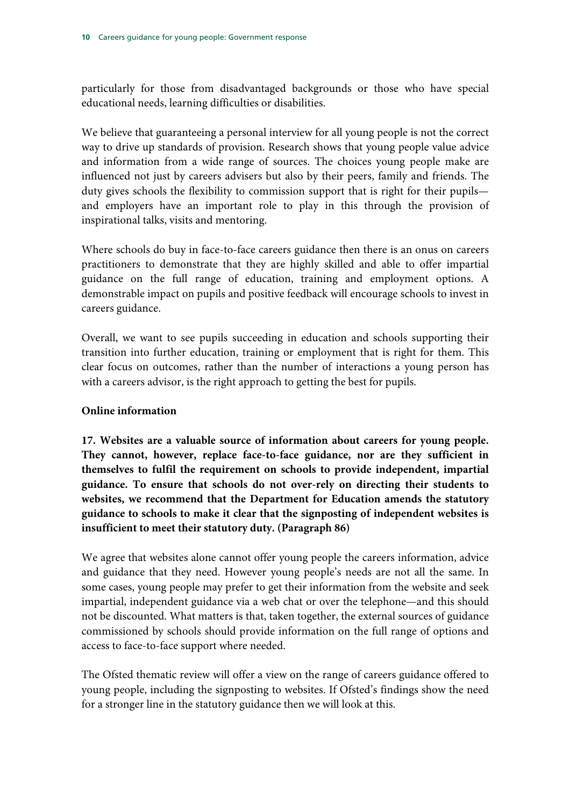particularly for those from disadvantaged backgrounds or those who have special educational needs, learning difficulties or disabilities.

We believe that guaranteeing a personal interview for all young people is not the correct way to drive up standards of provision. Research shows that young people value advice and information from a wide range of sources. The choices young people make are influenced not just by careers advisers but also by their peers, family and friends. The duty gives schools the flexibility to commission support that is right for their pupils and employers have an important role to play in this through the provision of inspirational talks, visits and mentoring.

Where schools do buy in face-to-face careers guidance then there is an onus on careers practitioners to demonstrate that they are highly skilled and able to offer impartial guidance on the full range of education, training and employment options. A demonstrable impact on pupils and positive feedback will encourage schools to invest in careers guidance.

Overall, we want to see pupils succeeding in education and schools supporting their transition into further education, training or employment that is right for them. This clear focus on outcomes, rather than the number of interactions a young person has with a careers advisor, is the right approach to getting the best for pupils.

#### **Online information**

**17. Websites are a valuable source of information about careers for young people. They cannot, however, replace face-to-face guidance, nor are they sufficient in themselves to fulfil the requirement on schools to provide independent, impartial guidance. To ensure that schools do not over-rely on directing their students to websites, we recommend that the Department for Education amends the statutory guidance to schools to make it clear that the signposting of independent websites is insufficient to meet their statutory duty. (Paragraph 86)** 

We agree that websites alone cannot offer young people the careers information, advice and guidance that they need. However young people's needs are not all the same. In some cases, young people may prefer to get their information from the website and seek impartial, independent guidance via a web chat or over the telephone—and this should not be discounted. What matters is that, taken together, the external sources of guidance commissioned by schools should provide information on the full range of options and access to face-to-face support where needed.

The Ofsted thematic review will offer a view on the range of careers guidance offered to young people, including the signposting to websites. If Ofsted's findings show the need for a stronger line in the statutory guidance then we will look at this.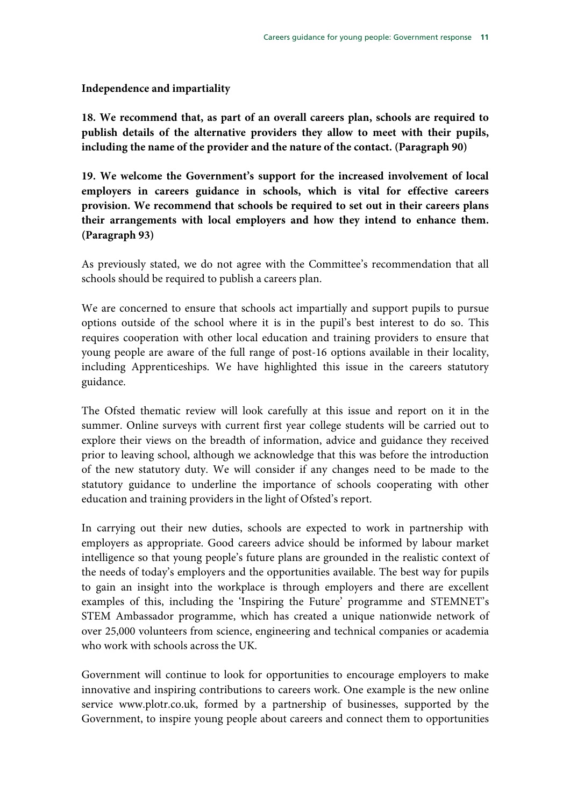#### **Independence and impartiality**

**18. We recommend that, as part of an overall careers plan, schools are required to publish details of the alternative providers they allow to meet with their pupils, including the name of the provider and the nature of the contact. (Paragraph 90)** 

**19. We welcome the Government's support for the increased involvement of local employers in careers guidance in schools, which is vital for effective careers provision. We recommend that schools be required to set out in their careers plans their arrangements with local employers and how they intend to enhance them. (Paragraph 93)** 

As previously stated, we do not agree with the Committee's recommendation that all schools should be required to publish a careers plan.

We are concerned to ensure that schools act impartially and support pupils to pursue options outside of the school where it is in the pupil's best interest to do so. This requires cooperation with other local education and training providers to ensure that young people are aware of the full range of post-16 options available in their locality, including Apprenticeships. We have highlighted this issue in the careers statutory guidance.

The Ofsted thematic review will look carefully at this issue and report on it in the summer. Online surveys with current first year college students will be carried out to explore their views on the breadth of information, advice and guidance they received prior to leaving school, although we acknowledge that this was before the introduction of the new statutory duty. We will consider if any changes need to be made to the statutory guidance to underline the importance of schools cooperating with other education and training providers in the light of Ofsted's report.

In carrying out their new duties, schools are expected to work in partnership with employers as appropriate. Good careers advice should be informed by labour market intelligence so that young people's future plans are grounded in the realistic context of the needs of today's employers and the opportunities available. The best way for pupils to gain an insight into the workplace is through employers and there are excellent examples of this, including the 'Inspiring the Future' programme and STEMNET's STEM Ambassador programme, which has created a unique nationwide network of over 25,000 volunteers from science, engineering and technical companies or academia who work with schools across the UK.

Government will continue to look for opportunities to encourage employers to make innovative and inspiring contributions to careers work. One example is the new online service www.plotr.co.uk, formed by a partnership of businesses, supported by the Government, to inspire young people about careers and connect them to opportunities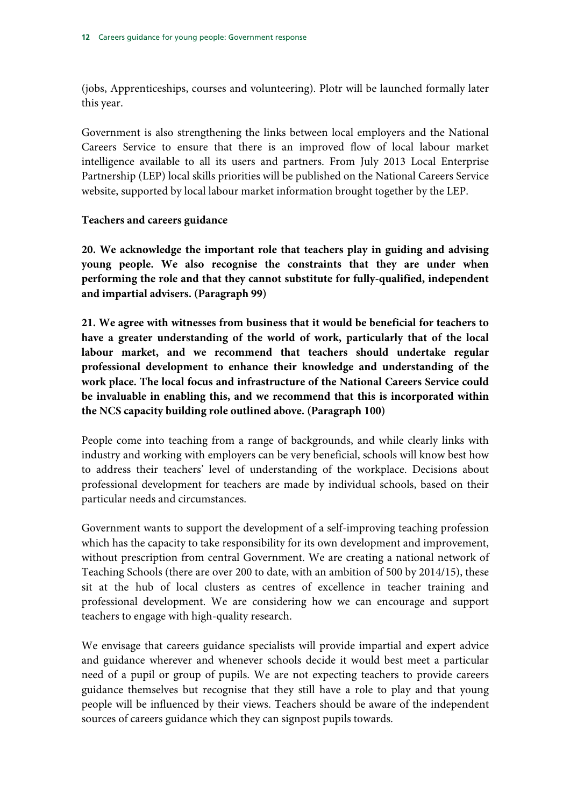(jobs, Apprenticeships, courses and volunteering). Plotr will be launched formally later this year.

Government is also strengthening the links between local employers and the National Careers Service to ensure that there is an improved flow of local labour market intelligence available to all its users and partners. From July 2013 Local Enterprise Partnership (LEP) local skills priorities will be published on the National Careers Service website, supported by local labour market information brought together by the LEP.

## **Teachers and careers guidance**

**20. We acknowledge the important role that teachers play in guiding and advising young people. We also recognise the constraints that they are under when performing the role and that they cannot substitute for fully-qualified, independent and impartial advisers. (Paragraph 99)** 

**21. We agree with witnesses from business that it would be beneficial for teachers to have a greater understanding of the world of work, particularly that of the local labour market, and we recommend that teachers should undertake regular professional development to enhance their knowledge and understanding of the work place. The local focus and infrastructure of the National Careers Service could be invaluable in enabling this, and we recommend that this is incorporated within the NCS capacity building role outlined above. (Paragraph 100)** 

People come into teaching from a range of backgrounds, and while clearly links with industry and working with employers can be very beneficial, schools will know best how to address their teachers' level of understanding of the workplace. Decisions about professional development for teachers are made by individual schools, based on their particular needs and circumstances.

Government wants to support the development of a self-improving teaching profession which has the capacity to take responsibility for its own development and improvement, without prescription from central Government. We are creating a national network of Teaching Schools (there are over 200 to date, with an ambition of 500 by 2014/15), these sit at the hub of local clusters as centres of excellence in teacher training and professional development. We are considering how we can encourage and support teachers to engage with high-quality research.

We envisage that careers guidance specialists will provide impartial and expert advice and guidance wherever and whenever schools decide it would best meet a particular need of a pupil or group of pupils. We are not expecting teachers to provide careers guidance themselves but recognise that they still have a role to play and that young people will be influenced by their views. Teachers should be aware of the independent sources of careers guidance which they can signpost pupils towards.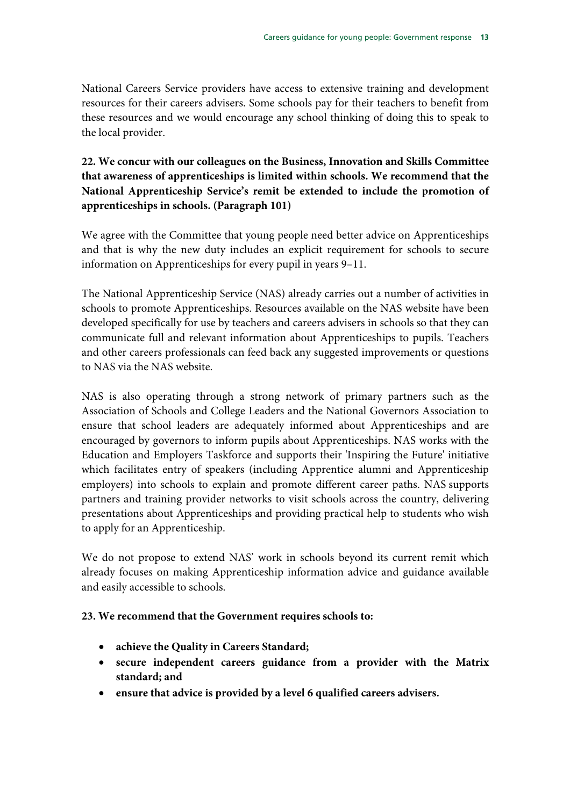National Careers Service providers have access to extensive training and development resources for their careers advisers. Some schools pay for their teachers to benefit from these resources and we would encourage any school thinking of doing this to speak to the local provider.

# **22. We concur with our colleagues on the Business, Innovation and Skills Committee that awareness of apprenticeships is limited within schools. We recommend that the National Apprenticeship Service's remit be extended to include the promotion of apprenticeships in schools. (Paragraph 101)**

We agree with the Committee that young people need better advice on Apprenticeships and that is why the new duty includes an explicit requirement for schools to secure information on Apprenticeships for every pupil in years 9–11.

The National Apprenticeship Service (NAS) already carries out a number of activities in schools to promote Apprenticeships. Resources available on the NAS website have been developed specifically for use by teachers and careers advisers in schools so that they can communicate full and relevant information about Apprenticeships to pupils. Teachers and other careers professionals can feed back any suggested improvements or questions to NAS via the NAS website.

NAS is also operating through a strong network of primary partners such as the Association of Schools and College Leaders and the National Governors Association to ensure that school leaders are adequately informed about Apprenticeships and are encouraged by governors to inform pupils about Apprenticeships. NAS works with the Education and Employers Taskforce and supports their 'Inspiring the Future' initiative which facilitates entry of speakers (including Apprentice alumni and Apprenticeship employers) into schools to explain and promote different career paths. NAS supports partners and training provider networks to visit schools across the country, delivering presentations about Apprenticeships and providing practical help to students who wish to apply for an Apprenticeship.

We do not propose to extend NAS' work in schools beyond its current remit which already focuses on making Apprenticeship information advice and guidance available and easily accessible to schools.

# **23. We recommend that the Government requires schools to:**

- **achieve the Quality in Careers Standard;**
- **secure independent careers guidance from a provider with the Matrix standard; and**
- **ensure that advice is provided by a level 6 qualified careers advisers.**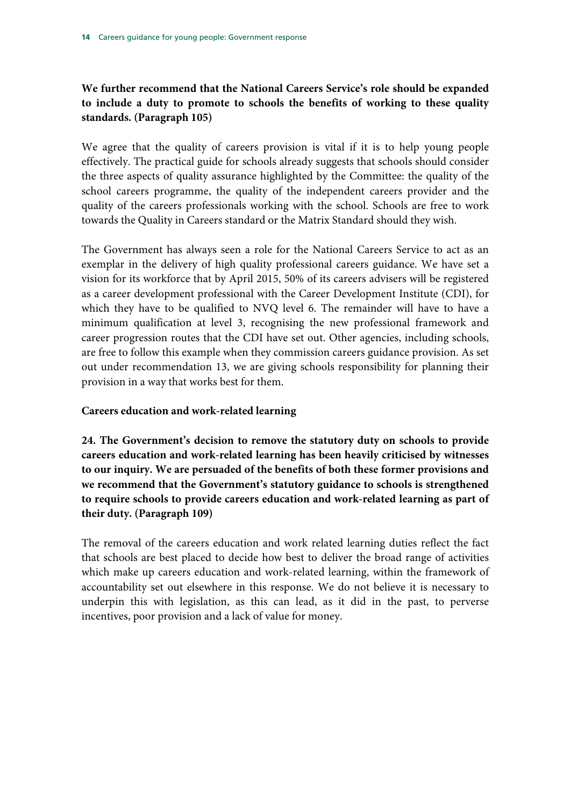# **We further recommend that the National Careers Service's role should be expanded to include a duty to promote to schools the benefits of working to these quality standards. (Paragraph 105)**

We agree that the quality of careers provision is vital if it is to help young people effectively. The practical guide for schools already suggests that schools should consider the three aspects of quality assurance highlighted by the Committee: the quality of the school careers programme, the quality of the independent careers provider and the quality of the careers professionals working with the school. Schools are free to work towards the Quality in Careers standard or the Matrix Standard should they wish.

The Government has always seen a role for the National Careers Service to act as an exemplar in the delivery of high quality professional careers guidance. We have set a vision for its workforce that by April 2015, 50% of its careers advisers will be registered as a career development professional with the Career Development Institute (CDI), for which they have to be qualified to NVQ level 6. The remainder will have to have a minimum qualification at level 3, recognising the new professional framework and career progression routes that the CDI have set out. Other agencies, including schools, are free to follow this example when they commission careers guidance provision. As set out under recommendation 13, we are giving schools responsibility for planning their provision in a way that works best for them.

#### **Careers education and work-related learning**

**24. The Government's decision to remove the statutory duty on schools to provide careers education and work-related learning has been heavily criticised by witnesses to our inquiry. We are persuaded of the benefits of both these former provisions and we recommend that the Government's statutory guidance to schools is strengthened to require schools to provide careers education and work-related learning as part of their duty. (Paragraph 109)** 

The removal of the careers education and work related learning duties reflect the fact that schools are best placed to decide how best to deliver the broad range of activities which make up careers education and work-related learning, within the framework of accountability set out elsewhere in this response. We do not believe it is necessary to underpin this with legislation, as this can lead, as it did in the past, to perverse incentives, poor provision and a lack of value for money.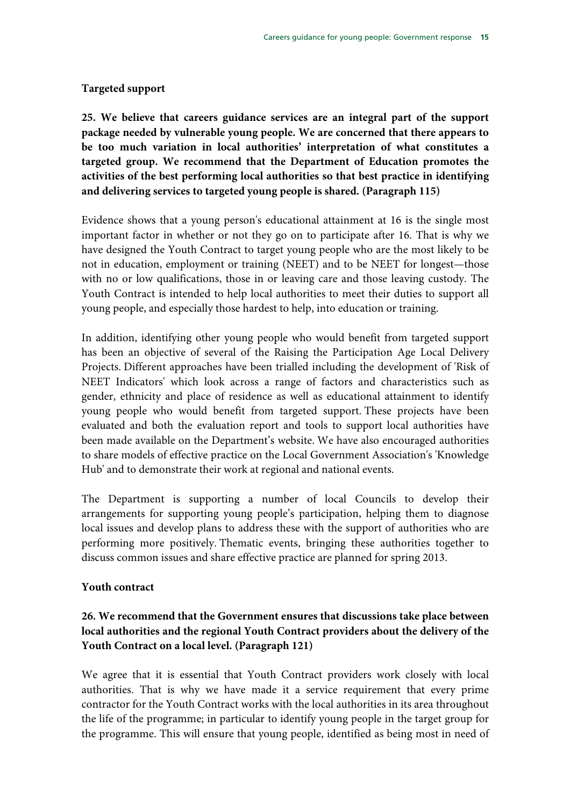#### **Targeted support**

**25. We believe that careers guidance services are an integral part of the support package needed by vulnerable young people. We are concerned that there appears to be too much variation in local authorities' interpretation of what constitutes a targeted group. We recommend that the Department of Education promotes the activities of the best performing local authorities so that best practice in identifying and delivering services to targeted young people is shared. (Paragraph 115)** 

Evidence shows that a young person's educational attainment at 16 is the single most important factor in whether or not they go on to participate after 16. That is why we have designed the Youth Contract to target young people who are the most likely to be not in education, employment or training (NEET) and to be NEET for longest—those with no or low qualifications, those in or leaving care and those leaving custody. The Youth Contract is intended to help local authorities to meet their duties to support all young people, and especially those hardest to help, into education or training.

In addition, identifying other young people who would benefit from targeted support has been an objective of several of the Raising the Participation Age Local Delivery Projects. Different approaches have been trialled including the development of 'Risk of NEET Indicators' which look across a range of factors and characteristics such as gender, ethnicity and place of residence as well as educational attainment to identify young people who would benefit from targeted support. These projects have been evaluated and both the evaluation report and tools to support local authorities have been made available on the Department's website. We have also encouraged authorities to share models of effective practice on the Local Government Association's 'Knowledge Hub' and to demonstrate their work at regional and national events.

The Department is supporting a number of local Councils to develop their arrangements for supporting young people's participation, helping them to diagnose local issues and develop plans to address these with the support of authorities who are performing more positively. Thematic events, bringing these authorities together to discuss common issues and share effective practice are planned for spring 2013.

#### **Youth contract**

# **26. We recommend that the Government ensures that discussions take place between local authorities and the regional Youth Contract providers about the delivery of the Youth Contract on a local level. (Paragraph 121)**

We agree that it is essential that Youth Contract providers work closely with local authorities. That is why we have made it a service requirement that every prime contractor for the Youth Contract works with the local authorities in its area throughout the life of the programme; in particular to identify young people in the target group for the programme. This will ensure that young people, identified as being most in need of